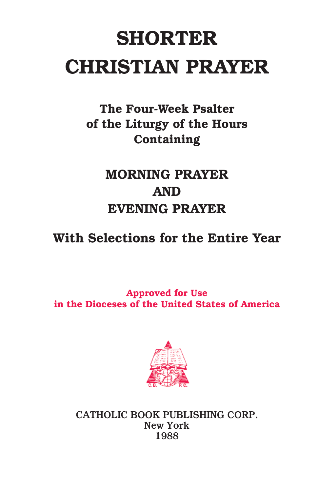# **SHORTER CHRISTIAN PRAYER**

**The Four-Week Psalter of the Liturgy of the Hours Containing**

## **MORNING PRAYER AND EVENING PRAYER**

**With Selections for the Entire Year**

**Approved for Use in the Dioceses of the United States of America**



**CATHOLIC BOOK PUBLISHING CORP. New York 1988**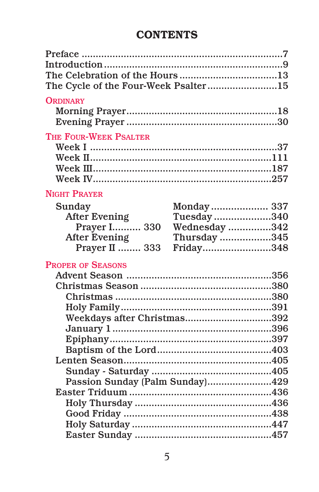## **CONTENTS**

| The Cycle of the Four-Week Psalter15 |                                 |
|--------------------------------------|---------------------------------|
|                                      |                                 |
| <b>ORDINARY</b>                      |                                 |
|                                      |                                 |
|                                      |                                 |
| THE FOUR-WEEK PSALTER                |                                 |
|                                      |                                 |
|                                      |                                 |
|                                      |                                 |
|                                      |                                 |
| <b>NIGHT PRAYER</b>                  |                                 |
|                                      |                                 |
| Sunday                               | Monday 337                      |
| <b>After Evening</b>                 | Tuesday340                      |
| Prayer I 330                         | Wednesday 342                   |
| <b>After Evening</b>                 | Thursday 345                    |
| <b>Prayer II  333</b>                | Friday348                       |
| <b>PROPER OF SEASONS</b>             |                                 |
|                                      |                                 |
|                                      |                                 |
|                                      |                                 |
|                                      |                                 |
|                                      | Weekdays after Christmas392     |
|                                      |                                 |
|                                      |                                 |
|                                      |                                 |
|                                      |                                 |
|                                      |                                 |
|                                      | Passion Sunday (Palm Sunday)429 |
|                                      |                                 |
|                                      |                                 |
|                                      |                                 |
|                                      |                                 |
|                                      |                                 |
|                                      |                                 |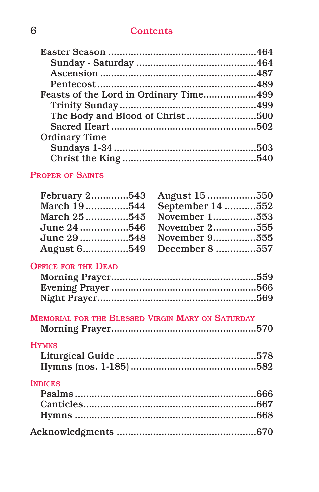### **6 Contents**

| <b>Ordinary Time</b> |  |
|----------------------|--|
|                      |  |
|                      |  |
|                      |  |

### **PROPER OF SAINTS**

| February 2543 August 15550  |
|-----------------------------|
| March 19544 September 14552 |
| March 25545 November 1553   |
| June 24 546 November 2555   |
| June 29 548 November 9555   |
| August 6549 December 8557   |
|                             |

### **OFFICE FOR THE DEAD**

| <b>MEMORIAL FOR THE BLESSED VIRGIN MARY ON SATURDAY</b> |  |
|---------------------------------------------------------|--|
|                                                         |  |
| <b>HYMNS</b>                                            |  |
|                                                         |  |
|                                                         |  |
| <b>INDICES</b>                                          |  |
|                                                         |  |
|                                                         |  |
|                                                         |  |
|                                                         |  |
|                                                         |  |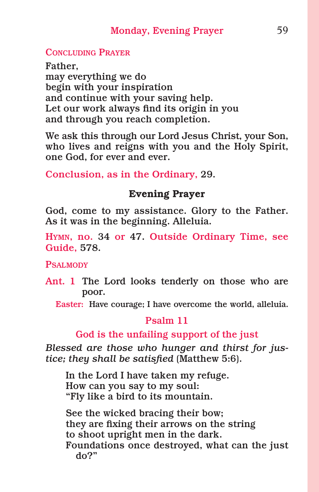#### **CONCLUDING PRAYER**

**Father, may everything we do begin with your inspiration and continue with your saving help. Let our work always find its origin in you and through you reach completion.**

**We ask this through our Lord Jesus Christ, your Son, who lives and reigns with you and the Holy Spirit, one God, for ever and ever.**

**Conclusion, as in the Ordinary, 29.**

#### **Evening Prayer**

**God, come to my assistance. Glory to the Father. As it was in the beginning. Alleluia.**

**HYMN, no. 34 or 47. Outside Ordinary Time, see Guide, 578.**

**PSALMODY**

**Ant. 1 The Lord looks tenderly on those who are poor.**

**Easter: Have courage; I have overcome the world, alleluia.**

#### **Psalm 11**

#### **God is the unfailing support of the just**

*Blessed are those who hunger and thirst for justice; they shall be satisfied* **(Matthew 5:6).**

**In the Lord I have taken my refuge. How can you say to my soul: "Fly like a bird to its mountain.**

**See the wicked bracing their bow; they are fixing their arrows on the string to shoot upright men in the dark. Foundations once destroyed, what can the just do?"**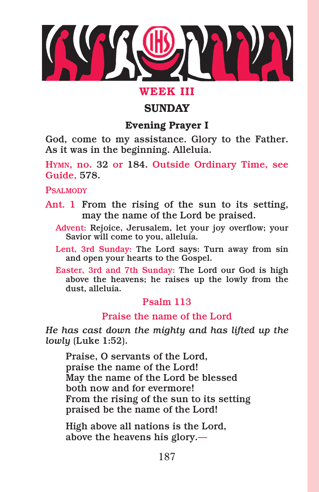

### **WEEK III**

### **SUNDAY**

### **Evening Prayer I**

**God, come to my assistance. Glory to the Father. As it was in the beginning. Alleluia.**

**HYMN, no. 32 or 184. Outside Ordinary Time, see Guide, 578.**

**PSALMODY**

- **Ant. 1 From the rising of the sun to its setting, may the name of the Lord be praised.**
	- **Advent: Rejoice, Jerusalem, let your joy overflow; your Savior will come to you, alleluia.**
	- **Lent, 3rd Sunday: The Lord says: Turn away from sin and open your hearts to the Gospel.**
	- **Easter, 3rd and 7th Sunday: The Lord our God is high above the heavens; he raises up the lowly from the dust, alleluia.**

### **Psalm 113**

#### **Praise the name of the Lord**

*He has cast down the mighty and has lifted up the lowly* **(Luke 1:52).**

**Praise, O servants of the Lord, praise the name of the Lord! May the name of the Lord be blessed both now and for evermore! From the rising of the sun to its setting praised be the name of the Lord!**

**High above all nations is the Lord, above the heavens his glory.—**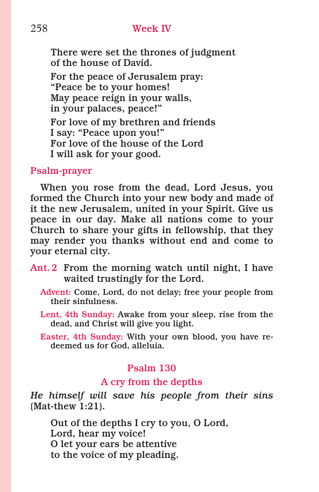#### 258 **Week IV**

**There were set the thrones of judgment of the house of David.**

**For the peace of Jerusalem pray: "Peace be to your homes! May peace reign in your walls, in your palaces, peace!" For love of my brethren and friends I say: "Peace upon you!" For love of the house of the Lord I will ask for your good.**

#### **Psalm-prayer**

**When you rose from the dead, Lord Jesus, you formed the Church into your new body and made of it the new Jerusalem, united in your Spirit. Give us peace in our day. Make all nations come to your Church to share your gifts in fellowship, that they may render you thanks without end and come to your eternal city.**

- **Ant. 2 From the morning watch until night, I have waited trustingly for the Lord.**
	- **Advent: Come, Lord, do not delay; free your people from their sinfulness.**
	- **Lent, 4th Sunday: Awake from your sleep, rise from the dead, and Christ will give you light.**
	- **Easter, 4th Sunday: With your own blood, you have redeemed us for God, alleluia.**

#### **Psalm 130**

#### **A cry from the depths**

*He himself will save his people from their sins* **(Mat-thew 1:21).**

**Out of the depths I cry to you, O Lord, Lord, hear my voice! O let your ears be attentive to the voice of my pleading.**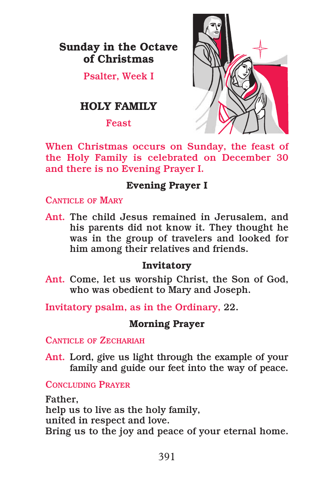### **Sunday in the Octave of Christmas**

**Psalter, Week I**

### **HOLY FAMILY**

**Feast**



**When Christmas occurs on Sunday, the feast of the Holy Family is celebrated on December 30 and there is no Evening Prayer I.**

### **Evening Prayer I**

**CANTICLE OF MARY**

**Ant. The child Jesus remained in Jerusalem, and his parents did not know it. They thought he was in the group of travelers and looked for him among their relatives and friends.**

### **Invitatory**

**Ant. Come, let us worship Christ, the Son of God, who was obedient to Mary and Joseph.**

**Invitatory psalm, as in the Ordinary, 22.**

### **Morning Prayer**

**CANTICLE OF ZECHARIAH**

**Ant. Lord, give us light through the example of your family and guide our feet into the way of peace.**

**CONCLUDING PRAYER**

**Father, help us to live as the holy family, united in respect and love. Bring us to the joy and peace of your eternal home.**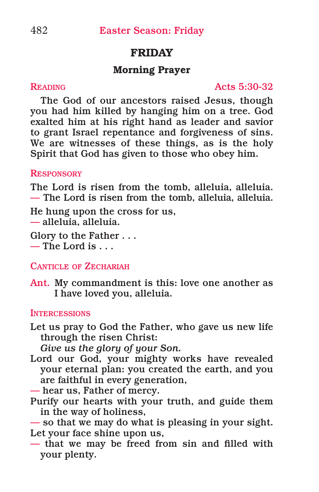### **FRIDAY**

#### **Morning Prayer**

**READING Acts 5:30-32**

**The God of our ancestors raised Jesus, though you had him killed by hanging him on a tree. God exalted him at his right hand as leader and savior to grant Israel repentance and forgiveness of sins. We are witnesses of these things, as is the holy Spirit that God has given to those who obey him.**

#### **RESPONSORY**

**The Lord is risen from the tomb, alleluia, alleluia. — The Lord is risen from the tomb, alleluia, alleluia.**

**He hung upon the cross for us, — alleluia, alleluia.**

**Glory to the Father . . . — The Lord is . . .**

#### **CANTICLE OF ZECHARIAH**

**Ant. My commandment is this: love one another as I have loved you, alleluia.**

#### **INTERCESSIONS**

**Let us pray to God the Father, who gave us new life through the risen Christ:**

*Give us the glory of your Son.*

- **Lord our God, your mighty works have revealed your eternal plan: you created the earth, and you are faithful in every generation,**
- **— hear us, Father of mercy.**
- **Purify our hearts with your truth, and guide them in the way of holiness,**
- **— so that we may do what is pleasing in your sight. Let your face shine upon us,**
- **— that we may be freed from sin and filled with your plenty.**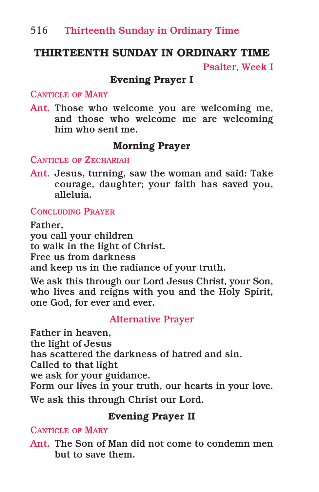### **THIRTEENTH SUNDAY IN ORDINARY TIME**

**Psalter, Week I**

#### **Evening Prayer I**

#### **CANTICLE OF MARY**

**Ant. Those who welcome you are welcoming me, and those who welcome me are welcoming him who sent me.**

### **Morning Prayer**

#### **CANTICLE OF ZECHARIAH**

**Ant. Jesus, turning, saw the woman and said: Take courage, daughter; your faith has saved you, alleluia.**

#### **CONCLUDING PRAYER**

**Father, you call your children to walk in the light of Christ. Free us from darkness and keep us in the radiance of your truth.**

**We ask this through our Lord Jesus Christ, your Son, who lives and reigns with you and the Holy Spirit, one God, for ever and ever.**

#### **Alternative Prayer**

**Father in heaven, the light of Jesus has scattered the darkness of hatred and sin. Called to that light we ask for your guidance. Form our lives in your truth, our hearts in your love. We ask this through Christ our Lord.**

### **Evening Prayer II**

#### **CANTICLE OF MARY**

**Ant. The Son of Man did not come to condemn men but to save them.**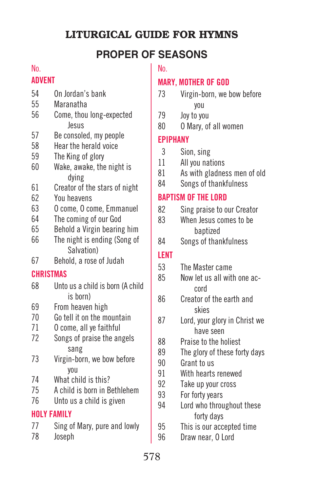### **LITURGICAL GUIDE FOR HYMNS**

### **PROPER OF SEASONS**

#### No.

### **ADVENT**

- On Jordan's bank
- Maranatha
- Come, thou long-expected Jesus
- Be consoled, my people
- Hear the herald voice
- The King of glory
- Wake, awake, the night is dying
- Creator of the stars of night
- You heavens
- O come, O come, Emmanuel
- The coming of our God
- Behold a Virgin bearing him
- The night is ending (Song of Salvation)
- Behold, a rose of Judah

### **CHRISTMAS**

- Unto us a child is born (A child is born)
- From heaven high
- Go tell it on the mountain
- O come, all ye faithful
- Songs of praise the angels sang
- Virgin-born, we bow before you
- What child is this?
- A child is born in Bethlehem
- Unto us a child is given

#### **HOLY FAMILY**

- Sing of Mary, pure and lowly
- Joseph

### No.

#### **MARY, MOTHER OF GOD**

- Virgin-born, we bow before you
- Joy to you
- O Mary, of all women

#### **EPIPHANY**

- Sion, sing
- All you nations
- As with gladness men of old
- Songs of thankfulness

### **BAPTISM OF THE LORD**

- Sing praise to our Creator
- When Jesus comes to be baptized
- Songs of thankfulness

### **LENT**

- The Master came
- Now let us all with one accord
- Creator of the earth and skies
- Lord, your glory in Christ we have seen
- 88 Praise to the holiest<br>89 The glory of these fo
	- The glory of these forty days
- Grant to us
- With hearts renewed
- Take up your cross
- For forty years
- Lord who throughout these forty days
- This is our accepted time
- Draw near, O Lord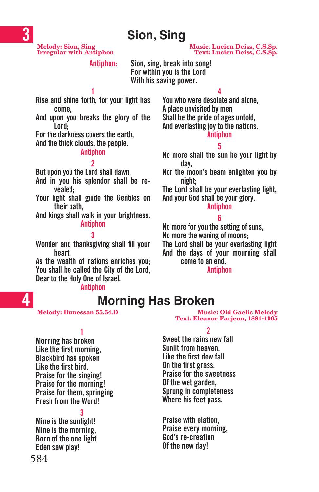## **Sion, Sing**

 $Irregular with Antiphon$ 

**Melody: Sion, Sing Music. Lucien Deiss, C.S.Sp.**

**Antiphon: Sion, sing, break into song! For within you is the Lord With his saving power.**

**1 Rise and shine forth, for your light has come,**

**And upon you breaks the glory of the Lord;**

**For the darkness coversthe earth,**

**And the thick clouds, the people.**

#### **Antiphon**

#### **2**

**But upon you the Lord shall dawn,**

**And in you his splendor shall be revealed;**

**Your light shall guide the Gentiles on their path,**

**And kings shall walk in your brightness. Antiphon**

**3 Wonder and thanksgiving shall fill your heart,**

**As the wealth of nations enriches you; You shall be called the City of the Lord, Dear to the Holy One of Israel.**

**Antiphon**

**You who were desolate and alone, A place unvisited by men Shall be the pride of ages untold, And everlasting joyto the nations. Antiphon**

#### **5**

**4**

**No more shall the sun be your light by day,**

**Nor the moon's beam enlighten you by night;**

**The Lord shall be your everlasting light, And your God shall be your glory.**

#### **Antiphon**

#### **6**

**No more foryou the setting ofsuns, No more the waning of moons;**

**The Lord shall be your everlasting light**

**And the days of your mourning shall come to an end.**

#### **Antiphon**

### **Morning Has Broken**

**1**

**Morning has broken Like the first morning, Blackbird has spoken Like the first bird. Praise for the singing! Praise for the morning! Praise for them, springing Fresh from the Word!**

**3**

**Mine is the sunlight! Mine is the morning, Born of the one light Eden saw play!**

**Melody: Bunessan 55.54.D Music: Old Gaelic Melody Text: Eleanor Farjeon, 1881-1965**

**2**

**Sweet the rains new fall Sunlit from heaven, Like the first dew fall On the first grass. Praise for the sweetness Of the wet garden, Sprung in completeness Where his feet pass.**

**Praise with elation, Praise every morning, God's re-creation Of the new day!**

**4**